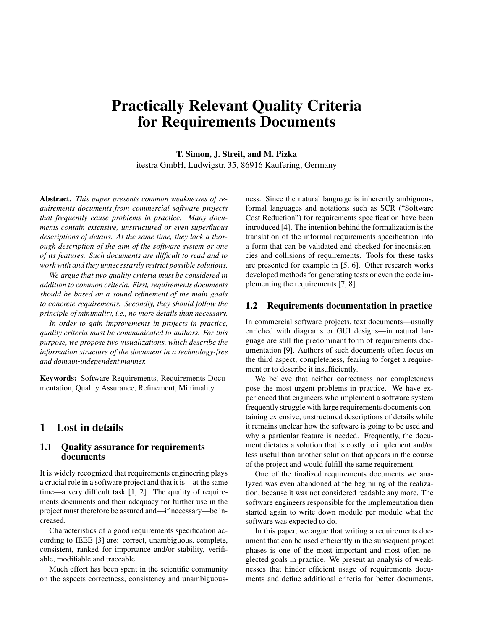# **Practically Relevant Quality Criteria for Requirements Documents**

**T. Simon, J. Streit, and M. Pizka** itestra GmbH, Ludwigstr. 35, 86916 Kaufering, Germany

**Abstract.** *This paper presents common weaknesses of requirements documents from commercial software projects that frequently cause problems in practice. Many documents contain extensive, unstructured or even superfluous descriptions of details. At the same time, they lack a thorough description of the aim of the software system or one of its features. Such documents are difficult to read and to work with and they unnecessarily restrict possible solutions.*

*We argue that two quality criteria must be considered in addition to common criteria. First, requirements documents should be based on a sound refinement of the main goals to concrete requirements. Secondly, they should follow the principle of minimality, i.e., no more details than necessary.*

*In order to gain improvements in projects in practice, quality criteria must be communicated to authors. For this purpose, we propose two visualizations, which describe the information structure of the document in a technology-free and domain-independent manner.*

**Keywords:** Software Requirements, Requirements Documentation, Quality Assurance, Refinement, Minimality.

## **1 Lost in details**

#### **1.1 Quality assurance for requirements documents**

It is widely recognized that requirements engineering plays a crucial role in a software project and that it is—at the same time—a very difficult task [1, 2]. The quality of requirements documents and their adequacy for further use in the project must therefore be assured and—if necessary—be increased.

Characteristics of a good requirements specification according to IEEE [3] are: correct, unambiguous, complete, consistent, ranked for importance and/or stability, verifiable, modifiable and traceable.

Much effort has been spent in the scientific community on the aspects correctness, consistency and unambiguousness. Since the natural language is inherently ambiguous, formal languages and notations such as SCR ("Software Cost Reduction") for requirements specification have been introduced [4]. The intention behind the formalization is the translation of the informal requirements specification into a form that can be validated and checked for inconsistencies and collisions of requirements. Tools for these tasks are presented for example in [5, 6]. Other research works developed methods for generating tests or even the code implementing the requirements [7, 8].

#### **1.2 Requirements documentation in practice**

In commercial software projects, text documents—usually enriched with diagrams or GUI designs—in natural language are still the predominant form of requirements documentation [9]. Authors of such documents often focus on the third aspect, completeness, fearing to forget a requirement or to describe it insufficiently.

We believe that neither correctness nor completeness pose the most urgent problems in practice. We have experienced that engineers who implement a software system frequently struggle with large requirements documents containing extensive, unstructured descriptions of details while it remains unclear how the software is going to be used and why a particular feature is needed. Frequently, the document dictates a solution that is costly to implement and/or less useful than another solution that appears in the course of the project and would fulfill the same requirement.

One of the finalized requirements documents we analyzed was even abandoned at the beginning of the realization, because it was not considered readable any more. The software engineers responsible for the implementation then started again to write down module per module what the software was expected to do.

In this paper, we argue that writing a requirements document that can be used efficiently in the subsequent project phases is one of the most important and most often neglected goals in practice. We present an analysis of weaknesses that hinder efficient usage of requirements documents and define additional criteria for better documents.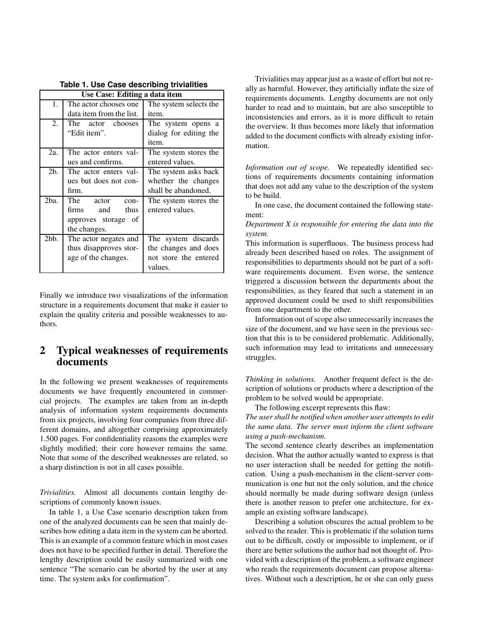| Use Case: Editing a data item |                          |                        |
|-------------------------------|--------------------------|------------------------|
| 1.                            | The actor chooses one.   | The system selects the |
|                               | data item from the list. | item.                  |
| 2.                            | The actor chooses        | The system opens a     |
|                               | "Edit item".             | dialog for editing the |
|                               |                          | item.                  |
| 2a.                           | The actor enters val-    | The system stores the  |
|                               | ues and confirms.        | entered values.        |
| 2 <sub>b</sub>                | The actor enters val-    | The system asks back   |
|                               | ues but does not con-    | whether the changes    |
|                               | firm.                    | shall be abandoned.    |
| 2ba.                          | The actor<br>$con-$      | The system stores the  |
|                               | thus<br>firms and        | entered values.        |
|                               | approves storage of      |                        |
|                               | the changes.             |                        |
| 2bb.                          | The actor negates and    | The system discards    |
|                               | thus disapproves stor-   | the changes and does   |
|                               | age of the changes.      | not store the entered  |
|                               |                          | values.                |

**Table 1. Use Case describing trivialities**

Finally we introduce two visualizations of the information structure in a requirements document that make it easier to explain the quality criteria and possible weaknesses to authors.

## **2 Typical weaknesses of requirements documents**

In the following we present weaknesses of requirements documents we have frequently encountered in commercial projects. The examples are taken from an in-depth analysis of information system requirements documents from six projects, involving four companies from three different domains, and altogether comprising approximately 1.500 pages. For confidentiality reasons the examples were slightly modified; their core however remains the same. Note that some of the described weaknesses are related, so a sharp distinction is not in all cases possible.

*Trivialities.* Almost all documents contain lengthy descriptions of commonly known issues.

In table 1, a Use Case scenario description taken from one of the analyzed documents can be seen that mainly describes how editing a data item in the system can be aborted. This is an example of a common feature which in most cases does not have to be specified further in detail. Therefore the lengthy description could be easily summarized with one sentence "The scenario can be aborted by the user at any time. The system asks for confirmation".

Trivialities may appear just as a waste of effort but not really as harmful. However, they artificially inflate the size of requirements documents. Lengthy documents are not only harder to read and to maintain, but are also susceptible to inconsistencies and errors, as it is more difficult to retain the overview. It thus becomes more likely that information added to the document conflicts with already existing information.

*Information out of scope.* We repeatedly identified sections of requirements documents containing information that does not add any value to the description of the system to be build.

In one case, the document contained the following statement:

*Department X is responsible for entering the data into the system.*

This information is superfluous. The business process had already been described based on roles. The assignment of responsibilities to departments should not be part of a software requirements document. Even worse, the sentence triggered a discussion between the departments about the responsibilities, as they feared that such a statement in an approved document could be used to shift responsibilities from one department to the other.

Information out of scope also unnecessarily increases the size of the document, and we have seen in the previous section that this is to be considered problematic. Additionally, such information may lead to irritations and unnecessary struggles.

*Thinking in solutions.* Another frequent defect is the description of solutions or products where a description of the problem to be solved would be appropriate.

The following excerpt represents this flaw:

*The user shall be notified when another user attempts to edit the same data. The server must inform the client software using a push-mechanism.*

The second sentence clearly describes an implementation decision. What the author actually wanted to express is that no user interaction shall be needed for getting the notification. Using a push-mechanism in the client-server communication is one but not the only solution, and the choice should normally be made during software design (unless there is another reason to prefer one architecture, for example an existing software landscape).

Describing a solution obscures the actual problem to be solved to the reader. This is problematic if the solution turns out to be difficult, costly or impossible to implement, or if there are better solutions the author had not thought of. Provided with a description of the problem, a software engineer who reads the requirements document can propose alternatives. Without such a description, he or she can only guess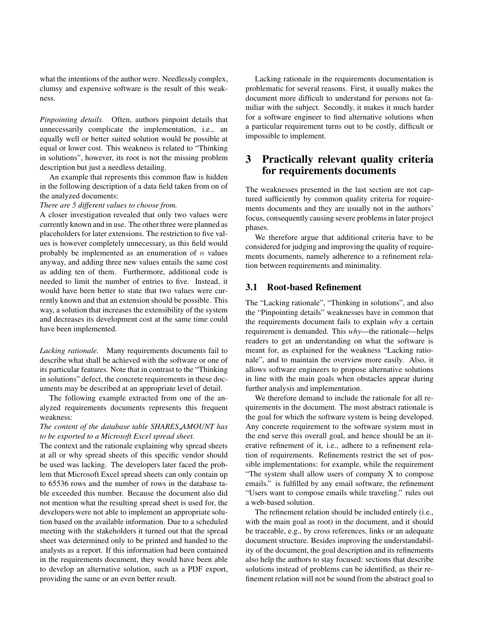what the intentions of the author were. Needlessly complex, clumsy and expensive software is the result of this weakness.

*Pinpointing details.* Often, authors pinpoint details that unnecessarily complicate the implementation, i.e., an equally well or better suited solution would be possible at equal or lower cost. This weakness is related to "Thinking in solutions", however, its root is not the missing problem description but just a needless detailing.

An example that represents this common flaw is hidden in the following description of a data field taken from on of the analyzed documents:

#### *There are 5 different values to choose from.*

A closer investigation revealed that only two values were currently known and in use. The other three were planned as placeholders for later extensions. The restriction to five values is however completely unnecessary, as this field would probably be implemented as an enumeration of  $n$  values anyway, and adding three new values entails the same cost as adding ten of them. Furthermore, additional code is needed to limit the number of entries to five. Instead, it would have been better to state that two values were currently known and that an extension should be possible. This way, a solution that increases the extensibility of the system and decreases its development cost at the same time could have been implemented.

*Lacking rationale.* Many requirements documents fail to describe what shall be achieved with the software or one of its particular features. Note that in contrast to the "Thinking in solutions" defect, the concrete requirements in these documents may be described at an appropriate level of detail.

The following example extracted from one of the analyzed requirements documents represents this frequent weakness:

#### *The content of the database table SHARES AMOUNT has to be exported to a Microsoft Excel spread sheet.*

The context and the rationale explaining why spread sheets at all or why spread sheets of this specific vendor should be used was lacking. The developers later faced the problem that Microsoft Excel spread sheets can only contain up to 65536 rows and the number of rows in the database table exceeded this number. Because the document also did not mention what the resulting spread sheet is used for, the developers were not able to implement an appropriate solution based on the available information. Due to a scheduled meeting with the stakeholders it turned out that the spread sheet was determined only to be printed and handed to the analysts as a report. If this information had been contained in the requirements document, they would have been able to develop an alternative solution, such as a PDF export, providing the same or an even better result.

Lacking rationale in the requirements documentation is problematic for several reasons. First, it usually makes the document more difficult to understand for persons not familiar with the subject. Secondly, it makes it much harder for a software engineer to find alternative solutions when a particular requirement turns out to be costly, difficult or impossible to implement.

## **3 Practically relevant quality criteria for requirements documents**

The weaknesses presented in the last section are not captured sufficiently by common quality criteria for requirements documents and they are usually not in the authors' focus, consequently causing severe problems in later project phases.

We therefore argue that additional criteria have to be considered for judging and improving the quality of requirements documents, namely adherence to a refinement relation between requirements and minimality.

#### **3.1 Root-based Refinement**

The "Lacking rationale", "Thinking in solutions", and also the "Pinpointing details" weaknesses have in common that the requirements document fails to explain *why* a certain requirement is demanded. This *why*—the rationale—helps readers to get an understanding on what the software is meant for, as explained for the weakness "Lacking rationale", and to maintain the overview more easily. Also, it allows software engineers to propose alternative solutions in line with the main goals when obstacles appear during further analysis and implementation.

We therefore demand to include the rationale for all requirements in the document. The most abstract rationale is the goal for which the software system is being developed. Any concrete requirement to the software system must in the end serve this overall goal, and hence should be an iterative refinement of it, i.e., adhere to a refinement relation of requirements. Refinements restrict the set of possible implementations: for example, while the requirement "The system shall allow users of company X to compose emails." is fulfilled by any email software, the refinement "Users want to compose emails while traveling." rules out a web-based solution.

The refinement relation should be included entirely (i.e., with the main goal as root) in the document, and it should be traceable, e.g., by cross references, links or an adequate document structure. Besides improving the understandability of the document, the goal description and its refinements also help the authors to stay focused: sections that describe solutions instead of problems can be identified, as their refinement relation will not be sound from the abstract goal to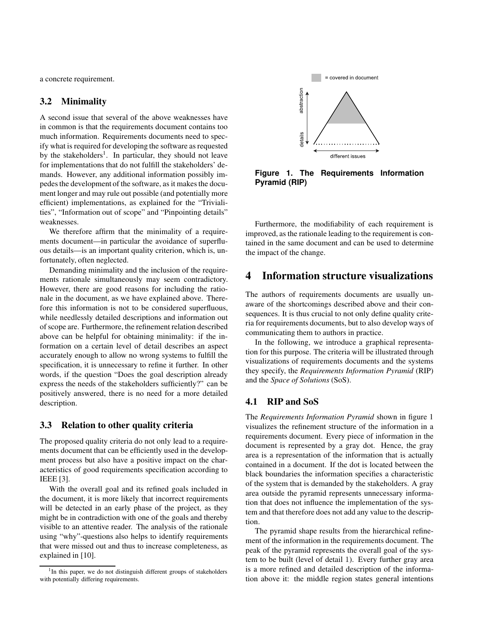a concrete requirement.

#### **3.2 Minimality**

A second issue that several of the above weaknesses have in common is that the requirements document contains too much information. Requirements documents need to specify what is required for developing the software as requested by the stakeholders<sup>1</sup>. In particular, they should not leave for implementations that do not fulfill the stakeholders' demands. However, any additional information possibly impedes the development of the software, as it makes the document longer and may rule out possible (and potentially more efficient) implementations, as explained for the "Trivialities", "Information out of scope" and "Pinpointing details" weaknesses.

We therefore affirm that the minimality of a requirements document—in particular the avoidance of superfluous details—is an important quality criterion, which is, unfortunately, often neglected.

Demanding minimality and the inclusion of the requirements rationale simultaneously may seem contradictory. However, there are good reasons for including the rationale in the document, as we have explained above. Therefore this information is not to be considered superfluous, while needlessly detailed descriptions and information out of scope are. Furthermore, the refinement relation described above can be helpful for obtaining minimality: if the information on a certain level of detail describes an aspect accurately enough to allow no wrong systems to fulfill the specification, it is unnecessary to refine it further. In other words, if the question "Does the goal description already express the needs of the stakeholders sufficiently?" can be positively answered, there is no need for a more detailed description.

#### **3.3 Relation to other quality criteria**

The proposed quality criteria do not only lead to a requirements document that can be efficiently used in the development process but also have a positive impact on the characteristics of good requirements specification according to IEEE [3].

With the overall goal and its refined goals included in the document, it is more likely that incorrect requirements will be detected in an early phase of the project, as they might be in contradiction with one of the goals and thereby visible to an attentive reader. The analysis of the rationale using "why"-questions also helps to identify requirements that were missed out and thus to increase completeness, as explained in [10].



**Figure 1. The Requirements Information Pyramid (RIP)**

Furthermore, the modifiability of each requirement is improved, as the rationale leading to the requirement is contained in the same document and can be used to determine the impact of the change.

## **4 Information structure visualizations**

The authors of requirements documents are usually unaware of the shortcomings described above and their consequences. It is thus crucial to not only define quality criteria for requirements documents, but to also develop ways of communicating them to authors in practice.

In the following, we introduce a graphical representation for this purpose. The criteria will be illustrated through visualizations of requirements documents and the systems they specify, the *Requirements Information Pyramid* (RIP) and the *Space of Solutions* (SoS).

### **4.1 RIP and SoS**

The *Requirements Information Pyramid* shown in figure 1 visualizes the refinement structure of the information in a requirements document. Every piece of information in the document is represented by a gray dot. Hence, the gray area is a representation of the information that is actually contained in a document. If the dot is located between the black boundaries the information specifies a characteristic of the system that is demanded by the stakeholders. A gray area outside the pyramid represents unnecessary information that does not influence the implementation of the system and that therefore does not add any value to the description.

The pyramid shape results from the hierarchical refinement of the information in the requirements document. The peak of the pyramid represents the overall goal of the system to be built (level of detail 1). Every further gray area is a more refined and detailed description of the information above it: the middle region states general intentions

<sup>&</sup>lt;sup>1</sup>In this paper, we do not distinguish different groups of stakeholders with potentially differing requirements.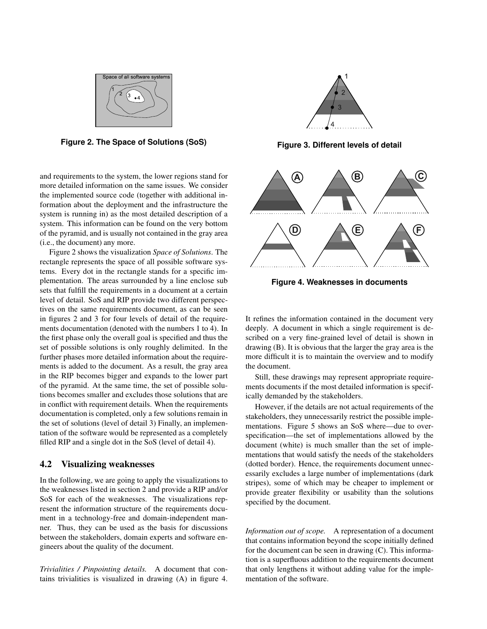

**Figure 2. The Space of Solutions (SoS)**

and requirements to the system, the lower regions stand for more detailed information on the same issues. We consider the implemented source code (together with additional information about the deployment and the infrastructure the system is running in) as the most detailed description of a system. This information can be found on the very bottom of the pyramid, and is usually not contained in the gray area (i.e., the document) any more.

Figure 2 shows the visualization *Space of Solutions*. The rectangle represents the space of all possible software systems. Every dot in the rectangle stands for a specific implementation. The areas surrounded by a line enclose sub sets that fulfill the requirements in a document at a certain level of detail. SoS and RIP provide two different perspectives on the same requirements document, as can be seen in figures 2 and 3 for four levels of detail of the requirements documentation (denoted with the numbers 1 to 4). In the first phase only the overall goal is specified and thus the set of possible solutions is only roughly delimited. In the further phases more detailed information about the requirements is added to the document. As a result, the gray area in the RIP becomes bigger and expands to the lower part of the pyramid. At the same time, the set of possible solutions becomes smaller and excludes those solutions that are in conflict with requirement details. When the requirements documentation is completed, only a few solutions remain in the set of solutions (level of detail 3) Finally, an implementation of the software would be represented as a completely filled RIP and a single dot in the SoS (level of detail 4).

#### **4.2 Visualizing weaknesses**

In the following, we are going to apply the visualizations to the weaknesses listed in section 2 and provide a RIP and/or SoS for each of the weaknesses. The visualizations represent the information structure of the requirements document in a technology-free and domain-independent manner. Thus, they can be used as the basis for discussions between the stakeholders, domain experts and software engineers about the quality of the document.

*Trivialities / Pinpointing details.* A document that contains trivialities is visualized in drawing (A) in figure 4.



**Figure 3. Different levels of detail**



**Figure 4. Weaknesses in documents**

It refines the information contained in the document very deeply. A document in which a single requirement is described on a very fine-grained level of detail is shown in drawing (B). It is obvious that the larger the gray area is the more difficult it is to maintain the overview and to modify the document.

Still, these drawings may represent appropriate requirements documents if the most detailed information is specifically demanded by the stakeholders.

However, if the details are not actual requirements of the stakeholders, they unnecessarily restrict the possible implementations. Figure 5 shows an SoS where—due to overspecification—the set of implementations allowed by the document (white) is much smaller than the set of implementations that would satisfy the needs of the stakeholders (dotted border). Hence, the requirements document unnecessarily excludes a large number of implementations (dark stripes), some of which may be cheaper to implement or provide greater flexibility or usability than the solutions specified by the document.

*Information out of scope.* A representation of a document that contains information beyond the scope initially defined for the document can be seen in drawing (C). This information is a superfluous addition to the requirements document that only lengthens it without adding value for the implementation of the software.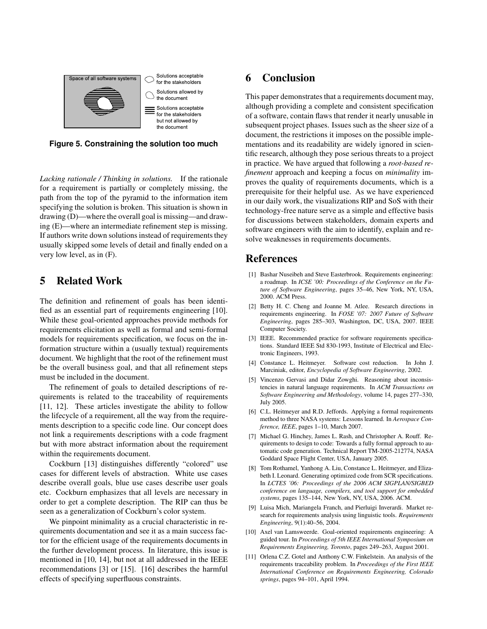

**Figure 5. Constraining the solution too much**

*Lacking rationale / Thinking in solutions.* If the rationale for a requirement is partially or completely missing, the path from the top of the pyramid to the information item specifying the solution is broken. This situation is shown in drawing (D)—where the overall goal is missing—and drawing (E)—where an intermediate refinement step is missing. If authors write down solutions instead of requirements they usually skipped some levels of detail and finally ended on a very low level, as in (F).

## **5 Related Work**

The definition and refinement of goals has been identified as an essential part of requirements engineering [10]. While these goal-oriented approaches provide methods for requirements elicitation as well as formal and semi-formal models for requirements specification, we focus on the information structure within a (usually textual) requirements document. We highlight that the root of the refinement must be the overall business goal, and that all refinement steps must be included in the document.

The refinement of goals to detailed descriptions of requirements is related to the traceability of requirements [11, 12]. These articles investigate the ability to follow the lifecycle of a requirement, all the way from the requirements description to a specific code line. Our concept does not link a requirements descriptions with a code fragment but with more abstract information about the requirement within the requirements document.

Cockburn [13] distinguishes differently "colored" use cases for different levels of abstraction. White use cases describe overall goals, blue use cases describe user goals etc. Cockburn emphasizes that all levels are necessary in order to get a complete description. The RIP can thus be seen as a generalization of Cockburn's color system.

We pinpoint minimality as a crucial characteristic in requirements documentation and see it as a main success factor for the efficient usage of the requirements documents in the further development process. In literature, this issue is mentioned in [10, 14], but not at all addressed in the IEEE recommendations [3] or [15]. [16] describes the harmful effects of specifying superfluous constraints.

## **6 Conclusion**

This paper demonstrates that a requirements document may, although providing a complete and consistent specification of a software, contain flaws that render it nearly unusable in subsequent project phases. Issues such as the sheer size of a document, the restrictions it imposes on the possible implementations and its readability are widely ignored in scientific research, although they pose serious threats to a project in practice. We have argued that following a *root-based refinement* approach and keeping a focus on *minimality* improves the quality of requirements documents, which is a prerequisite for their helpful use. As we have experienced in our daily work, the visualizations RIP and SoS with their technology-free nature serve as a simple and effective basis for discussions between stakeholders, domain experts and software engineers with the aim to identify, explain and resolve weaknesses in requirements documents.

## **References**

- [1] Bashar Nuseibeh and Steve Easterbrook. Requirements engineering: a roadmap. In *ICSE '00: Proceedings of the Conference on the Future of Software Engineering*, pages 35–46, New York, NY, USA, 2000. ACM Press.
- [2] Betty H. C. Cheng and Joanne M. Atlee. Research directions in requirements engineering. In *FOSE '07: 2007 Future of Software Engineering*, pages 285–303, Washington, DC, USA, 2007. IEEE Computer Society.
- [3] IEEE. Recommended practice for software requirements specifications. Standard IEEE Std 830-1993, Institute of Electrical and Electronic Engineers, 1993.
- [4] Constance L. Heitmeyer. Software cost reduction. In John J. Marciniak, editor, *Encyclopedia of Software Engineering*, 2002.
- [5] Vincenzo Gervasi and Didar Zowghi. Reasoning about inconsistencies in natural language requirements. In *ACM Transactions on Software Engineering and Methodology*, volume 14, pages 277–330, July 2005.
- [6] C.L. Heitmeyer and R.D. Jeffords. Applying a formal requirements method to three NASA systems: Lessons learned. In *Aerospace Conference, IEEE*, pages 1–10, March 2007.
- [7] Michael G. Hinchey, James L. Rash, and Christopher A. Rouff. Requirements to design to code: Towards a fully formal approach to automatic code generation. Technical Report TM-2005-212774, NASA Goddard Space Flight Center, USA, January 2005.
- [8] Tom Rothamel, Yanhong A. Liu, Constance L. Heitmeyer, and Elizabeth I. Leonard. Generating optimized code from SCR specifications. In *LCTES '06: Proceedings of the 2006 ACM SIGPLAN/SIGBED conference on language, compilers, and tool support for embedded systems*, pages 135–144, New York, NY, USA, 2006. ACM.
- [9] Luisa Mich, Mariangela Franch, and Pierluigi Inverardi. Market research for requirements analysis using linguistic tools. *Requirements Engineering*, 9(1):40–56, 2004.
- [10] Axel van Lamsweerde. Goal-oriented requirements engineering: A guided tour. In *Proceedings of 5th IEEE International Symposium on Requirements Engineering, Toronto*, pages 249–263, August 2001.
- [11] Orlena C.Z. Gotel and Anthony C.W. Finkelstein. An analysis of the requirements traceability problem. In *Proceedings of the First IEEE International Conference on Requirements Engineering, Colorado springs*, pages 94–101, April 1994.